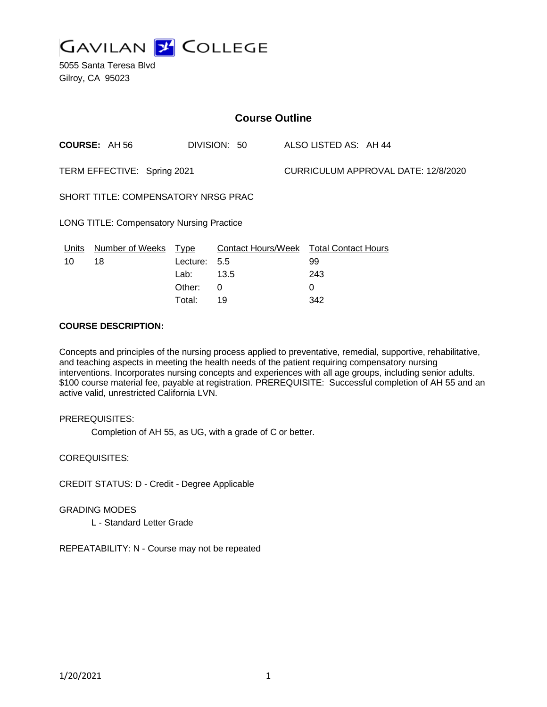

| <b>Course Outline</b>                            |                        |             |                           |  |                                     |  |  |  |
|--------------------------------------------------|------------------------|-------------|---------------------------|--|-------------------------------------|--|--|--|
|                                                  | <b>COURSE: AH 56</b>   |             | DIVISION: 50              |  | ALSO LISTED AS: AH 44               |  |  |  |
| TERM EFFECTIVE: Spring 2021                      |                        |             |                           |  | CURRICULUM APPROVAL DATE: 12/8/2020 |  |  |  |
| SHORT TITLE: COMPENSATORY NRSG PRAC              |                        |             |                           |  |                                     |  |  |  |
| <b>LONG TITLE: Compensatory Nursing Practice</b> |                        |             |                           |  |                                     |  |  |  |
| <b>Units</b>                                     | <b>Number of Weeks</b> | <u>Type</u> | <b>Contact Hours/Week</b> |  | <b>Total Contact Hours</b>          |  |  |  |
| 10                                               | 18                     | Lecture:    | 5.5                       |  | 99                                  |  |  |  |
|                                                  |                        | Lab:        | 13.5                      |  | 243                                 |  |  |  |
|                                                  |                        | Other:      | 0                         |  | 0                                   |  |  |  |

Total: 19 342

#### **COURSE DESCRIPTION:**

Concepts and principles of the nursing process applied to preventative, remedial, supportive, rehabilitative, and teaching aspects in meeting the health needs of the patient requiring compensatory nursing interventions. Incorporates nursing concepts and experiences with all age groups, including senior adults. \$100 course material fee, payable at registration. PREREQUISITE: Successful completion of AH 55 and an active valid, unrestricted California LVN.

#### PREREQUISITES:

Completion of AH 55, as UG, with a grade of C or better.

COREQUISITES:

CREDIT STATUS: D - Credit - Degree Applicable

#### GRADING MODES

L - Standard Letter Grade

REPEATABILITY: N - Course may not be repeated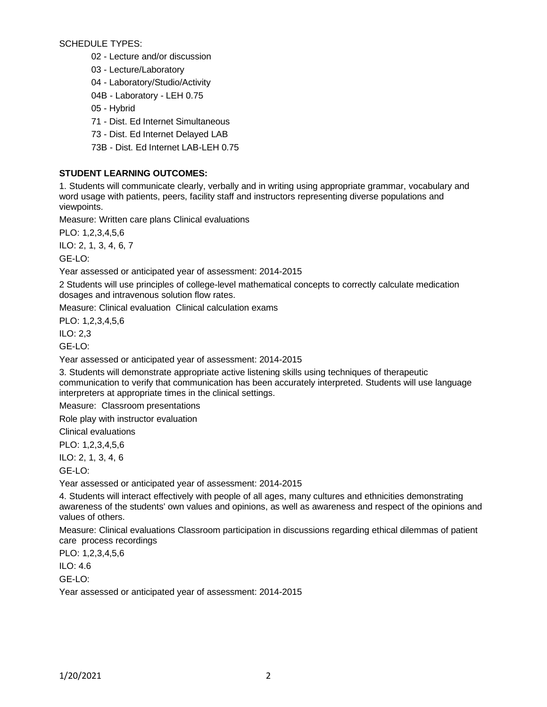SCHEDULE TYPES:

02 - Lecture and/or discussion

03 - Lecture/Laboratory

04 - Laboratory/Studio/Activity

04B - Laboratory - LEH 0.75

05 - Hybrid

71 - Dist. Ed Internet Simultaneous

73 - Dist. Ed Internet Delayed LAB

73B - Dist. Ed Internet LAB-LEH 0.75

# **STUDENT LEARNING OUTCOMES:**

1. Students will communicate clearly, verbally and in writing using appropriate grammar, vocabulary and word usage with patients, peers, facility staff and instructors representing diverse populations and viewpoints.

Measure: Written care plans Clinical evaluations

PLO: 1,2,3,4,5,6

ILO: 2, 1, 3, 4, 6, 7

GE-LO:

Year assessed or anticipated year of assessment: 2014-2015

2 Students will use principles of college-level mathematical concepts to correctly calculate medication dosages and intravenous solution flow rates.

Measure: Clinical evaluation Clinical calculation exams

PLO: 1,2,3,4,5,6

ILO: 2,3

GE-LO:

Year assessed or anticipated year of assessment: 2014-2015

3. Students will demonstrate appropriate active listening skills using techniques of therapeutic communication to verify that communication has been accurately interpreted. Students will use language interpreters at appropriate times in the clinical settings.

Measure: Classroom presentations

Role play with instructor evaluation

Clinical evaluations

PLO: 1,2,3,4,5,6

ILO: 2, 1, 3, 4, 6

GE-LO:

Year assessed or anticipated year of assessment: 2014-2015

4. Students will interact effectively with people of all ages, many cultures and ethnicities demonstrating awareness of the students' own values and opinions, as well as awareness and respect of the opinions and values of others.

Measure: Clinical evaluations Classroom participation in discussions regarding ethical dilemmas of patient care process recordings

PLO: 1,2,3,4,5,6

ILO: 4.6

GE-LO:

Year assessed or anticipated year of assessment: 2014-2015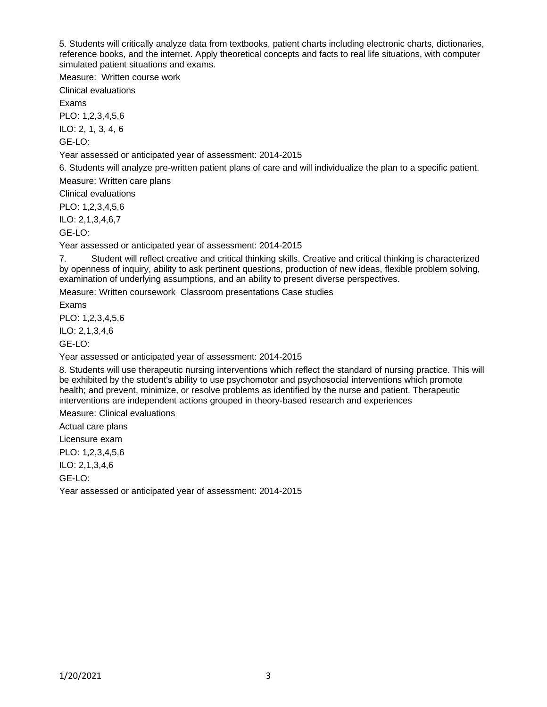5. Students will critically analyze data from textbooks, patient charts including electronic charts, dictionaries, reference books, and the internet. Apply theoretical concepts and facts to real life situations, with computer simulated patient situations and exams.

Measure: Written course work

Clinical evaluations

Exams

PLO: 1,2,3,4,5,6

ILO: 2, 1, 3, 4, 6

GE-LO:

Year assessed or anticipated year of assessment: 2014-2015

6. Students will analyze pre-written patient plans of care and will individualize the plan to a specific patient.

Measure: Written care plans

Clinical evaluations

PLO: 1,2,3,4,5,6

ILO: 2,1,3,4,6,7

GE-LO:

Year assessed or anticipated year of assessment: 2014-2015

7. Student will reflect creative and critical thinking skills. Creative and critical thinking is characterized by openness of inquiry, ability to ask pertinent questions, production of new ideas, flexible problem solving, examination of underlying assumptions, and an ability to present diverse perspectives.

Measure: Written coursework Classroom presentations Case studies

Exams

PLO: 1,2,3,4,5,6

ILO: 2,1,3,4,6

GE-LO:

Year assessed or anticipated year of assessment: 2014-2015

8. Students will use therapeutic nursing interventions which reflect the standard of nursing practice. This will be exhibited by the student's ability to use psychomotor and psychosocial interventions which promote health; and prevent, minimize, or resolve problems as identified by the nurse and patient. Therapeutic interventions are independent actions grouped in theory-based research and experiences

Measure: Clinical evaluations

Actual care plans

Licensure exam

PLO: 1,2,3,4,5,6

ILO: 2,1,3,4,6

GE-LO:

Year assessed or anticipated year of assessment: 2014-2015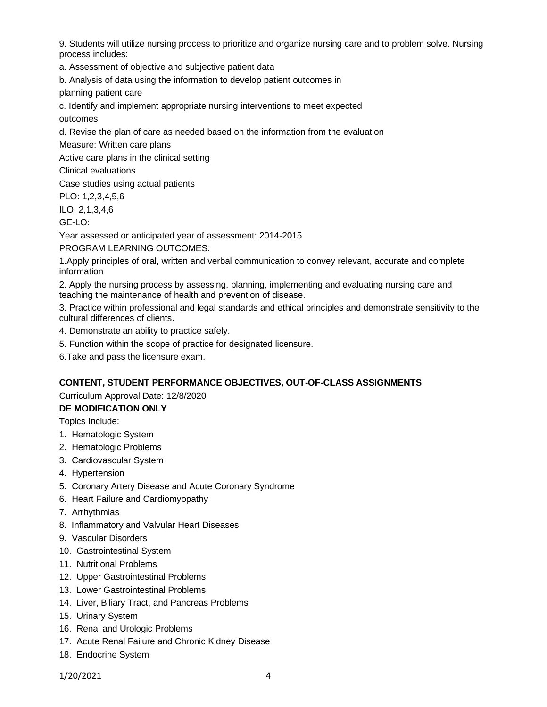9. Students will utilize nursing process to prioritize and organize nursing care and to problem solve. Nursing process includes:

a. Assessment of objective and subjective patient data

b. Analysis of data using the information to develop patient outcomes in

planning patient care

c. Identify and implement appropriate nursing interventions to meet expected

outcomes

d. Revise the plan of care as needed based on the information from the evaluation

Measure: Written care plans

Active care plans in the clinical setting

Clinical evaluations

Case studies using actual patients

PLO: 1,2,3,4,5,6

ILO: 2,1,3,4,6

GE-LO:

Year assessed or anticipated year of assessment: 2014-2015

PROGRAM LEARNING OUTCOMES:

1.Apply principles of oral, written and verbal communication to convey relevant, accurate and complete information

2. Apply the nursing process by assessing, planning, implementing and evaluating nursing care and teaching the maintenance of health and prevention of disease.

3. Practice within professional and legal standards and ethical principles and demonstrate sensitivity to the cultural differences of clients.

4. Demonstrate an ability to practice safely.

5. Function within the scope of practice for designated licensure.

6.Take and pass the licensure exam.

#### **CONTENT, STUDENT PERFORMANCE OBJECTIVES, OUT-OF-CLASS ASSIGNMENTS**

#### Curriculum Approval Date: 12/8/2020

#### **DE MODIFICATION ONLY**

Topics Include:

- 1. Hematologic System
- 2. Hematologic Problems
- 3. Cardiovascular System
- 4. Hypertension
- 5. Coronary Artery Disease and Acute Coronary Syndrome
- 6. Heart Failure and Cardiomyopathy
- 7. Arrhythmias
- 8. Inflammatory and Valvular Heart Diseases
- 9. Vascular Disorders
- 10. Gastrointestinal System
- 11. Nutritional Problems
- 12. Upper Gastrointestinal Problems
- 13. Lower Gastrointestinal Problems
- 14. Liver, Biliary Tract, and Pancreas Problems
- 15. Urinary System
- 16. Renal and Urologic Problems
- 17. Acute Renal Failure and Chronic Kidney Disease
- 18. Endocrine System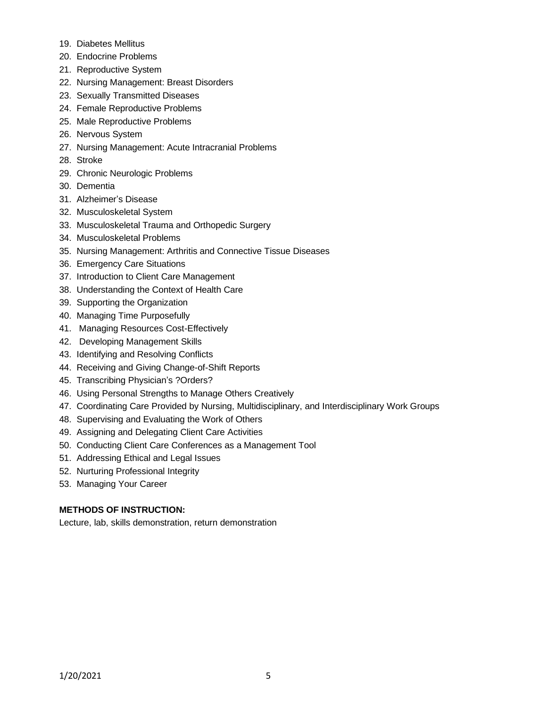- 19. Diabetes Mellitus
- 20. Endocrine Problems
- 21. Reproductive System
- 22. Nursing Management: Breast Disorders
- 23. Sexually Transmitted Diseases
- 24. Female Reproductive Problems
- 25. Male Reproductive Problems
- 26. Nervous System
- 27. Nursing Management: Acute Intracranial Problems
- 28. Stroke
- 29. Chronic Neurologic Problems
- 30. Dementia
- 31. Alzheimer's Disease
- 32. Musculoskeletal System
- 33. Musculoskeletal Trauma and Orthopedic Surgery
- 34. Musculoskeletal Problems
- 35. Nursing Management: Arthritis and Connective Tissue Diseases
- 36. Emergency Care Situations
- 37. Introduction to Client Care Management
- 38. Understanding the Context of Health Care
- 39. Supporting the Organization
- 40. Managing Time Purposefully
- 41. Managing Resources Cost-Effectively
- 42. Developing Management Skills
- 43. Identifying and Resolving Conflicts
- 44. Receiving and Giving Change-of-Shift Reports
- 45. Transcribing Physician's ?Orders?
- 46. Using Personal Strengths to Manage Others Creatively
- 47. Coordinating Care Provided by Nursing, Multidisciplinary, and Interdisciplinary Work Groups
- 48. Supervising and Evaluating the Work of Others
- 49. Assigning and Delegating Client Care Activities
- 50. Conducting Client Care Conferences as a Management Tool
- 51. Addressing Ethical and Legal Issues
- 52. Nurturing Professional Integrity
- 53. Managing Your Career

# **METHODS OF INSTRUCTION:**

Lecture, lab, skills demonstration, return demonstration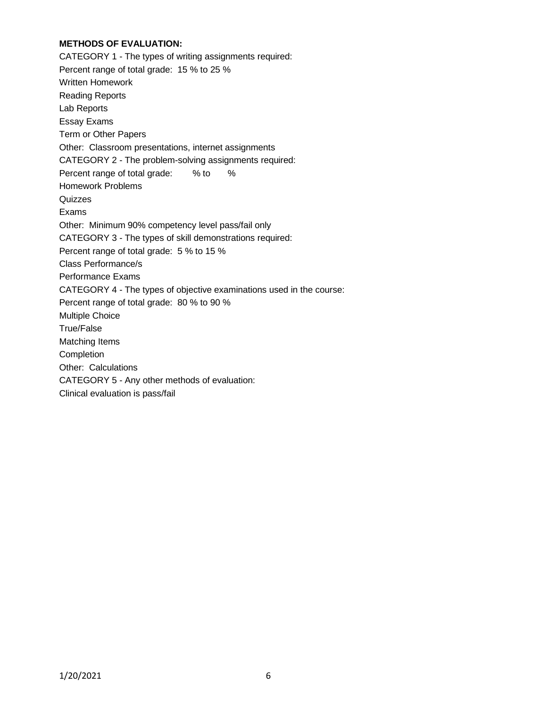## **METHODS OF EVALUATION:**

CATEGORY 1 - The types of writing assignments required: Percent range of total grade: 15 % to 25 % Written Homework Reading Reports Lab Reports Essay Exams Term or Other Papers Other: Classroom presentations, internet assignments CATEGORY 2 - The problem-solving assignments required: Percent range of total grade: % to % Homework Problems **Quizzes** Exams Other: Minimum 90% competency level pass/fail only CATEGORY 3 - The types of skill demonstrations required: Percent range of total grade: 5 % to 15 % Class Performance/s Performance Exams CATEGORY 4 - The types of objective examinations used in the course: Percent range of total grade: 80 % to 90 % Multiple Choice True/False Matching Items **Completion** Other: Calculations CATEGORY 5 - Any other methods of evaluation: Clinical evaluation is pass/fail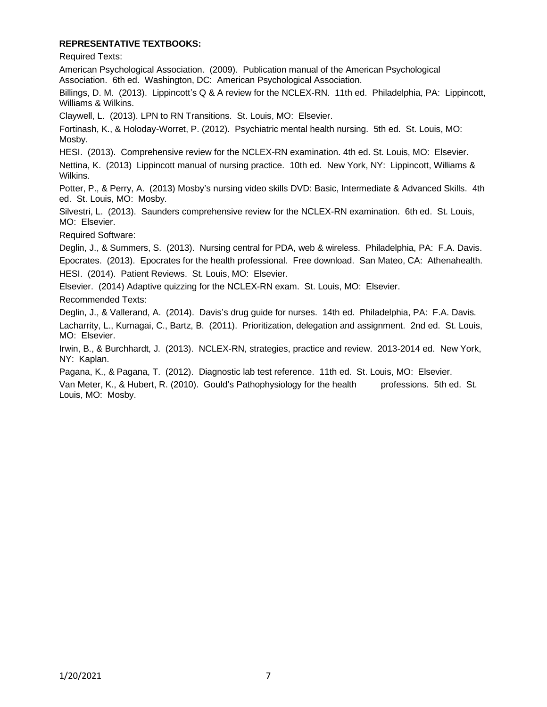#### **REPRESENTATIVE TEXTBOOKS:**

Required Texts:

American Psychological Association. (2009). Publication manual of the American Psychological Association. 6th ed. Washington, DC: American Psychological Association.

Billings, D. M. (2013). Lippincott's Q & A review for the NCLEX-RN. 11th ed. Philadelphia, PA: Lippincott, Williams & Wilkins.

Claywell, L. (2013). LPN to RN Transitions. St. Louis, MO: Elsevier.

Fortinash, K., & Holoday-Worret, P. (2012). Psychiatric mental health nursing. 5th ed. St. Louis, MO: Mosby.

HESI. (2013). Comprehensive review for the NCLEX-RN examination. 4th ed. St. Louis, MO: Elsevier.

Nettina, K. (2013) Lippincott manual of nursing practice. 10th ed. New York, NY: Lippincott, Williams & Wilkins.

Potter, P., & Perry, A. (2013) Mosby's nursing video skills DVD: Basic, Intermediate & Advanced Skills. 4th ed. St. Louis, MO: Mosby.

Silvestri, L. (2013). Saunders comprehensive review for the NCLEX-RN examination. 6th ed. St. Louis, MO: Elsevier.

Required Software:

Deglin, J., & Summers, S. (2013). Nursing central for PDA, web & wireless. Philadelphia, PA: F.A. Davis. Epocrates. (2013). Epocrates for the health professional. Free download. San Mateo, CA: Athenahealth. HESI. (2014). Patient Reviews. St. Louis, MO: Elsevier.

Elsevier. (2014) Adaptive quizzing for the NCLEX-RN exam. St. Louis, MO: Elsevier.

Recommended Texts:

Deglin, J., & Vallerand, A. (2014). Davis's drug guide for nurses. 14th ed. Philadelphia, PA: F.A. Davis. Lacharrity, L., Kumagai, C., Bartz, B. (2011). Prioritization, delegation and assignment. 2nd ed. St. Louis, MO: Elsevier.

Irwin, B., & Burchhardt, J. (2013). NCLEX-RN, strategies, practice and review. 2013-2014 ed. New York, NY: Kaplan.

Pagana, K., & Pagana, T. (2012). Diagnostic lab test reference. 11th ed. St. Louis, MO: Elsevier.

Van Meter, K., & Hubert, R. (2010). Gould's Pathophysiology for the health professions. 5th ed. St. Louis, MO: Mosby.